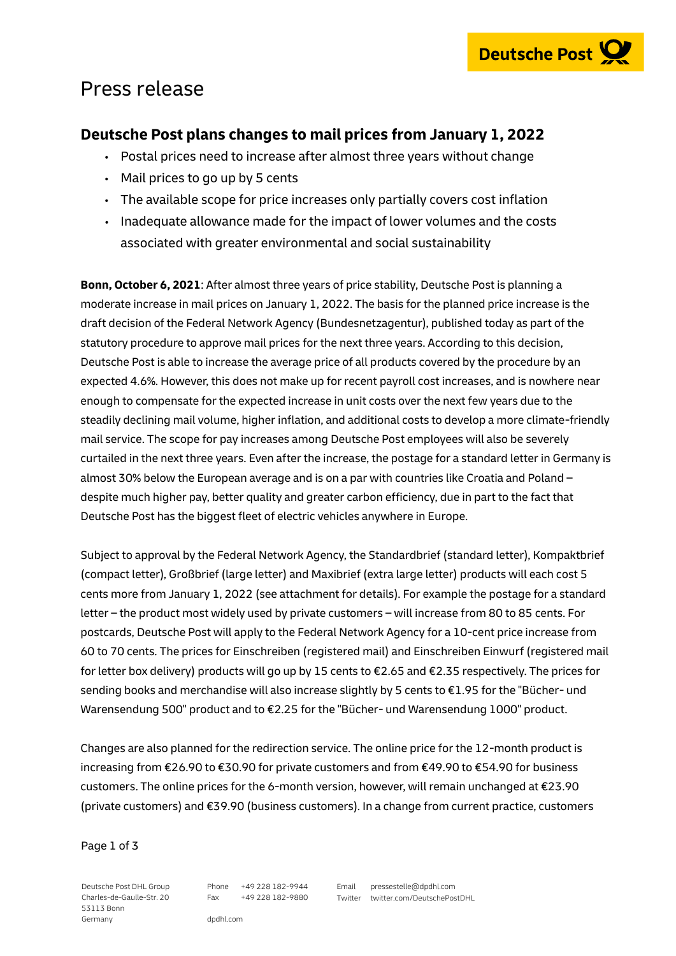

## Press release

### **Deutsche Post plans changes to mail prices from January 1, 2022**

- Postal prices need to increase after almost three years without change
- $\cdot$  Mail prices to go up by 5 cents
- The available scope for price increases only partially covers cost inflation
- Inadequate allowance made for the impact of lower volumes and the costs associated with greater environmental and social sustainability

**Bonn, October 6, 2021**: After almost three years of price stability, Deutsche Post is planning a moderate increase in mail prices on January 1, 2022. The basis for the planned price increase is the draft decision of the Federal Network Agency (Bundesnetzagentur), published today as part of the statutory procedure to approve mail prices for the next three years. According to this decision, Deutsche Post is able to increase the average price of all products covered by the procedure by an expected 4.6%. However, this does not make up for recent payroll cost increases, and is nowhere near enough to compensate for the expected increase in unit costs over the next few years due to the steadily declining mail volume, higher inflation, and additional costs to develop a more climate-friendly mail service. The scope for pay increases among Deutsche Post employees will also be severely curtailed in the next three years. Even after the increase, the postage for a standard letter in Germany is almost 30% below the European average and is on a par with countries like Croatia and Poland – despite much higher pay, better quality and greater carbon efficiency, due in part to the fact that Deutsche Post has the biggest fleet of electric vehicles anywhere in Europe.

Subject to approval by the Federal Network Agency, the Standardbrief (standard letter), Kompaktbrief (compact letter), Großbrief (large letter) and Maxibrief (extra large letter) products will each cost 5 cents more from January 1, 2022 (see attachment for details). For example the postage for a standard letter – the product most widely used by private customers – will increase from 80 to 85 cents. For postcards, Deutsche Post will apply to the Federal Network Agency for a 10-cent price increase from 60 to 70 cents. The prices for Einschreiben (registered mail) and Einschreiben Einwurf (registered mail for letter box delivery) products will go up by 15 cents to €2.65 and €2.35 respectively. The prices for sending books and merchandise will also increase slightly by 5 cents to €1.95 for the "Bücher- und Warensendung 500" product and to €2.25 for the "Bücher- und Warensendung 1000" product.

Changes are also planned for the redirection service. The online price for the 12-month product is increasing from €26.90 to €30.90 for private customers and from €49.90 to €54.90 for business customers. The online prices for the 6-month version, however, will remain unchanged at €23.90 (private customers) and €39.90 (business customers). In a change from current practice, customers

#### Page 1 of 3

Deutsche Post DHL Group Charles-de-Gaulle-Str. 20 53113 Bonn Germany

Phone +49 228 182-9944 Fax +49 228 182-9880 Email pressestelle@dpdhl.com Twitter twitter.com/DeutschePostDHL

dpdhl.com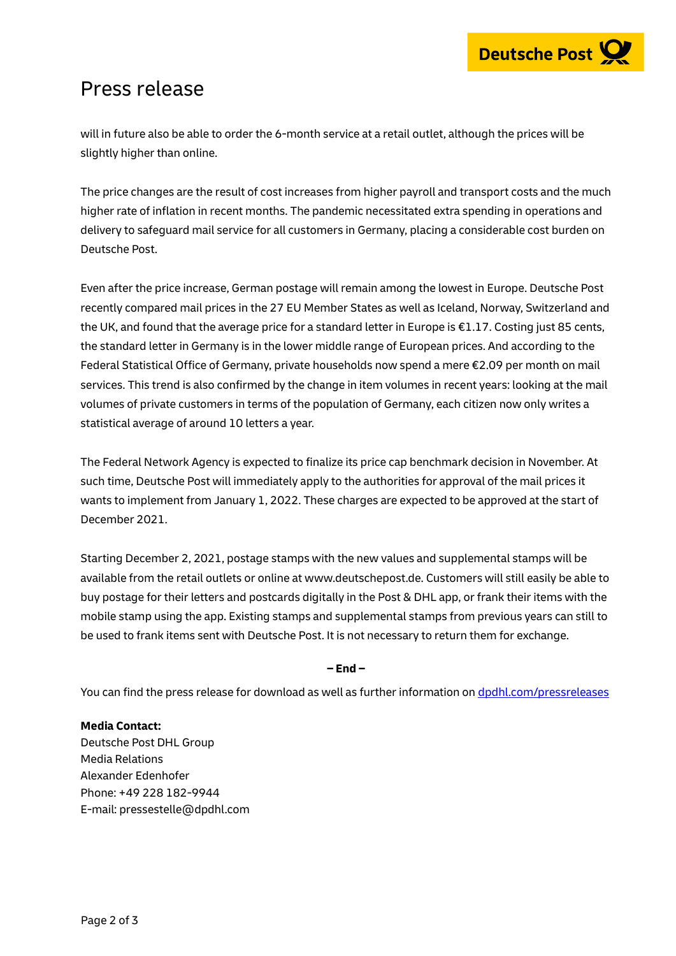# Press release

will in future also be able to order the 6-month service at a retail outlet, although the prices will be slightly higher than online.

The price changes are the result of cost increases from higher payroll and transport costs and the much higher rate of inflation in recent months. The pandemic necessitated extra spending in operations and delivery to safeguard mail service for all customers in Germany, placing a considerable cost burden on Deutsche Post.

Even after the price increase, German postage will remain among the lowest in Europe. Deutsche Post recently compared mail prices in the 27 EU Member States as well as Iceland, Norway, Switzerland and the UK, and found that the average price for a standard letter in Europe is €1.17. Costing just 85 cents, the standard letter in Germany is in the lower middle range of European prices. And according to the Federal Statistical Office of Germany, private households now spend a mere €2.09 per month on mail services. This trend is also confirmed by the change in item volumes in recent years: looking at the mail volumes of private customers in terms of the population of Germany, each citizen now only writes a statistical average of around 10 letters a year.

The Federal Network Agency is expected to finalize its price cap benchmark decision in November. At such time, Deutsche Post will immediately apply to the authorities for approval of the mail prices it wants to implement from January 1, 2022. These charges are expected to be approved at the start of December 2021.

Starting December 2, 2021, postage stamps with the new values and supplemental stamps will be available from the retail outlets or online at www.deutschepost.de. Customers will still easily be able to buy postage for their letters and postcards digitally in the Post & DHL app, or frank their items with the mobile stamp using the app. Existing stamps and supplemental stamps from previous years can still to be used to frank items sent with Deutsche Post. It is not necessary to return them for exchange.

### **– End –**

You can find the press release for download as well as further information on [dpdhl.com/pressreleases](https://www.dpdhl.com/pressreleases)

### **Media Contact:**

Deutsche Post DHL Group Media Relations Alexander Edenhofer Phone: +49 228 182-9944 E-mail: pressestelle@dpdhl.com